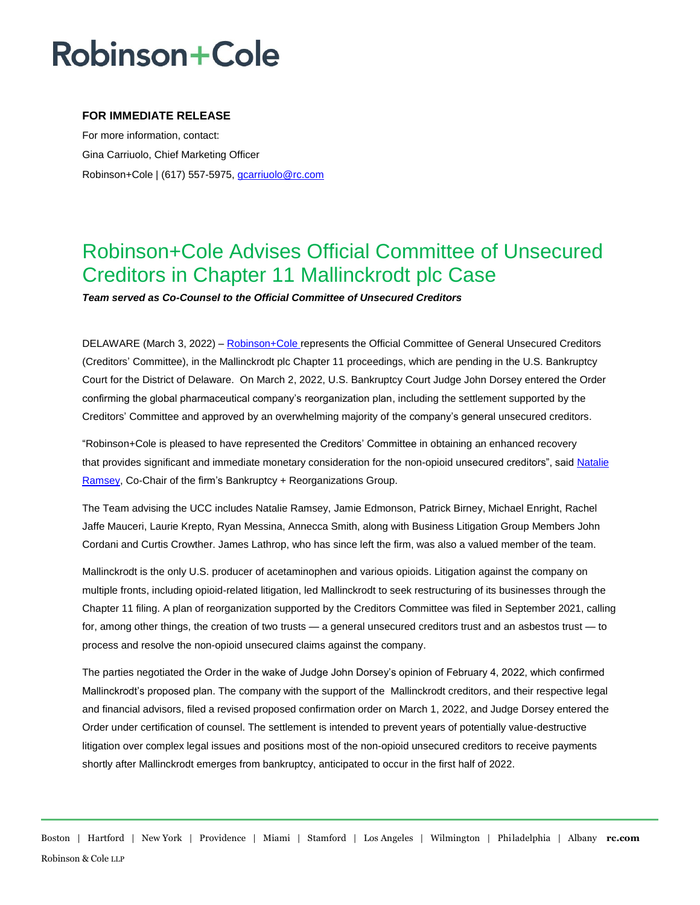# **Robinson+Cole**

### **FOR IMMEDIATE RELEASE**

For more information, contact: Gina Carriuolo, Chief Marketing Officer Robinson+Cole | (617) 557-5975[, gcarriuolo@rc.com](mailto:gcarriuolo@rc.com)

### Robinson+Cole Advises Official Committee of Unsecured Creditors in Chapter 11 Mallinckrodt plc Case

*Team served as Co-Counsel to the Official Committee of Unsecured Creditors*

DELAWARE (March 3, 2022) – [Robinson+Cole](http://www.rc.com/index.cfm) represents the Official Committee of General Unsecured Creditors (Creditors' Committee), in the Mallinckrodt plc Chapter 11 proceedings, which are pending in the U.S. Bankruptcy Court for the District of Delaware. On March 2, 2022, U.S. Bankruptcy Court Judge John Dorsey entered the Order confirming the global pharmaceutical company's reorganization plan, including the settlement supported by the Creditors' Committee and approved by an overwhelming majority of the company's general unsecured creditors.

"Robinson+Cole is pleased to have represented the Creditors' Committee in obtaining an enhanced recovery that provides significant and immediate monetary consideration for the non-opioid unsecured creditors", sai[d Natalie](http://www.rc.com/people/NatalieDRamsey.cfm)  [Ramsey,](http://www.rc.com/people/NatalieDRamsey.cfm) Co-Chair of the firm's Bankruptcy + Reorganizations Group.

The Team advising the UCC includes Natalie Ramsey, Jamie Edmonson, Patrick Birney, Michael Enright, Rachel Jaffe Mauceri, Laurie Krepto, Ryan Messina, Annecca Smith, along with Business Litigation Group Members John Cordani and Curtis Crowther. James Lathrop, who has since left the firm, was also a valued member of the team.

Mallinckrodt is the only U.S. producer of acetaminophen and various opioids. Litigation against the company on multiple fronts, including opioid-related litigation, led Mallinckrodt to seek restructuring of its businesses through the Chapter 11 filing. A plan of reorganization supported by the Creditors Committee was filed in September 2021, calling for, among other things, the creation of two trusts — a general unsecured creditors trust and an asbestos trust — to process and resolve the non-opioid unsecured claims against the company.

The parties negotiated the Order in the wake of Judge John Dorsey's opinion of February 4, 2022, which confirmed Mallinckrodt's proposed plan. The company with the support of the Mallinckrodt creditors, and their respective legal and financial advisors, filed a revised proposed confirmation order on March 1, 2022, and Judge Dorsey entered the Order under certification of counsel. The settlement is intended to prevent years of potentially value-destructive litigation over complex legal issues and positions most of the non-opioid unsecured creditors to receive payments shortly after Mallinckrodt emerges from bankruptcy, anticipated to occur in the first half of 2022.

Boston | Hartford | New York | Providence | Miami | Stamford | Los Angeles | Wilmington | Philadelphia | Albany **rc.com** Robinson & Cole LLP